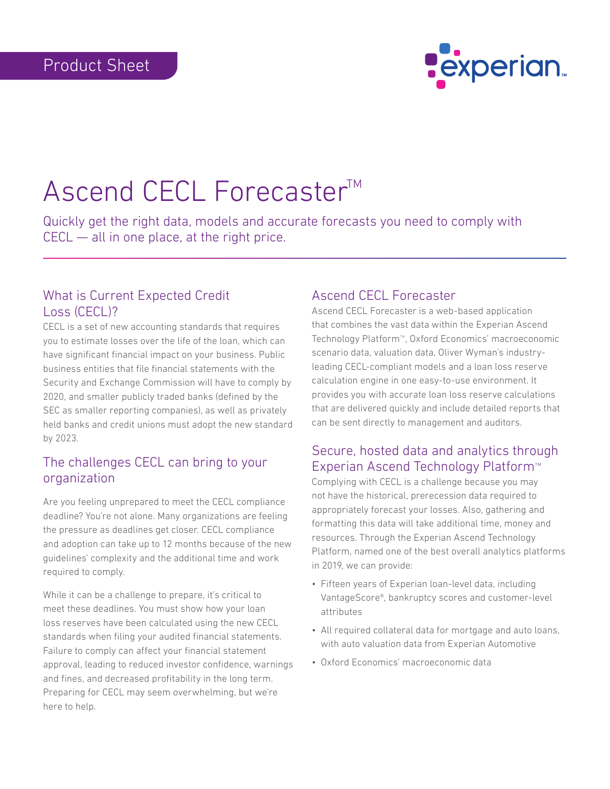

# Ascend CECL Forecaster™

Quickly get the right data, models and accurate forecasts you need to comply with CECL — all in one place, at the right price.

#### What is Current Expected Credit Loss (CECL)?

CECL is a set of new accounting standards that requires you to estimate losses over the life of the loan, which can have significant financial impact on your business. Public business entities that file financial statements with the Security and Exchange Commission will have to comply by 2020, and smaller publicly traded banks (defined by the SEC as smaller reporting companies), as well as privately held banks and credit unions must adopt the new standard by 2023.

## The challenges CECL can bring to your organization

Are you feeling unprepared to meet the CECL compliance deadline? You're not alone. Many organizations are feeling the pressure as deadlines get closer. CECL compliance and adoption can take up to 12 months because of the new guidelines' complexity and the additional time and work required to comply.

While it can be a challenge to prepare, it's critical to meet these deadlines. You must show how your loan loss reserves have been calculated using the new CECL standards when filing your audited financial statements. Failure to comply can affect your financial statement approval, leading to reduced investor confidence, warnings and fines, and decreased profitability in the long term. Preparing for CECL may seem overwhelming, but we're here to help.

## Ascend CECL Forecaster

Ascend CECL Forecaster is a web-based application that combines the vast data within the Experian Ascend Technology Platform<sup>™</sup>, Oxford Economics' macroeconomic scenario data, valuation data, Oliver Wyman's industryleading CECL-compliant models and a loan loss reserve calculation engine in one easy-to-use environment. It provides you with accurate loan loss reserve calculations that are delivered quickly and include detailed reports that can be sent directly to management and auditors.

## Secure, hosted data and analytics through Experian Ascend Technology Platform<sup>™</sup>

Complying with CECL is a challenge because you may not have the historical, prerecession data required to appropriately forecast your losses. Also, gathering and formatting this data will take additional time, money and resources. Through the Experian Ascend Technology Platform, named one of the best overall analytics platforms in 2019, we can provide:

- Fifteen years of Experian loan-level data, including VantageScore®, bankruptcy scores and customer-level attributes
- All required collateral data for mortgage and auto loans, with auto valuation data from Experian Automotive
- Oxford Economics' macroeconomic data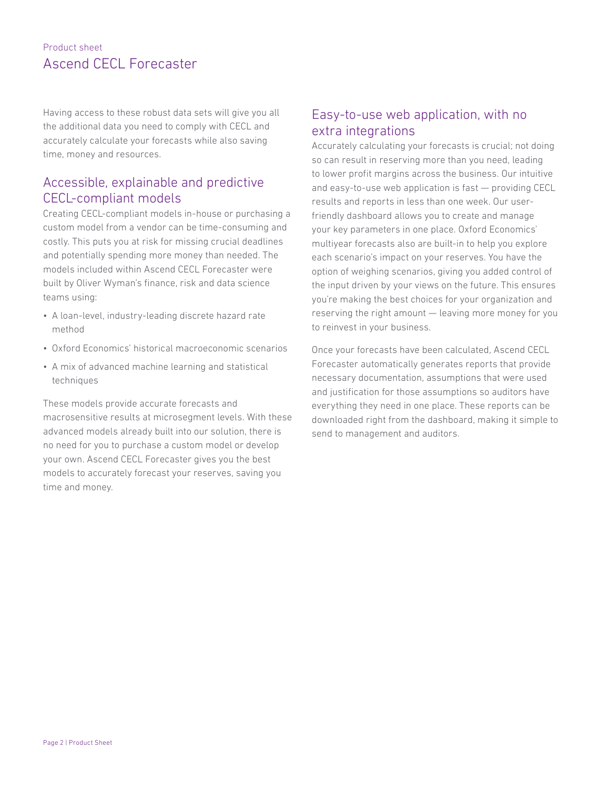#### Product sheet Ascend CECL Forecaster

Having access to these robust data sets will give you all the additional data you need to comply with CECL and accurately calculate your forecasts while also saving time, money and resources.

## Accessible, explainable and predictive CECL-compliant models

Creating CECL-compliant models in-house or purchasing a custom model from a vendor can be time-consuming and costly. This puts you at risk for missing crucial deadlines and potentially spending more money than needed. The models included within Ascend CECL Forecaster were built by Oliver Wyman's finance, risk and data science teams using:

- A loan-level, industry-leading discrete hazard rate method
- Oxford Economics' historical macroeconomic scenarios
- A mix of advanced machine learning and statistical techniques

These models provide accurate forecasts and macrosensitive results at microsegment levels. With these advanced models already built into our solution, there is no need for you to purchase a custom model or develop your own. Ascend CECL Forecaster gives you the best models to accurately forecast your reserves, saving you time and money.

#### Easy-to-use web application, with no extra integrations

Accurately calculating your forecasts is crucial; not doing so can result in reserving more than you need, leading to lower profit margins across the business. Our intuitive and easy-to-use web application is fast — providing CECL results and reports in less than one week. Our userfriendly dashboard allows you to create and manage your key parameters in one place. Oxford Economics' multiyear forecasts also are built-in to help you explore each scenario's impact on your reserves. You have the option of weighing scenarios, giving you added control of the input driven by your views on the future. This ensures you're making the best choices for your organization and reserving the right amount — leaving more money for you to reinvest in your business.

Once your forecasts have been calculated, Ascend CECL Forecaster automatically generates reports that provide necessary documentation, assumptions that were used and justification for those assumptions so auditors have everything they need in one place. These reports can be downloaded right from the dashboard, making it simple to send to management and auditors.